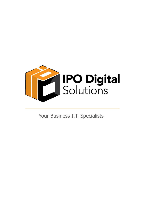

Your Business I.T. Specialists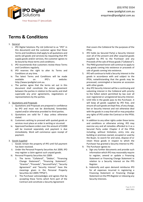

# **Terms & Conditions**

#### 1. General

- i. IPO Digital Solutions Pty Ltd (referred to as "IPO" in this document) and the customer agree that these Terms and Conditions shall apply to all quotations and works (all goods and services) by requesting that IPO supply goods and/or services, the customer agrees to be bound by those terms and conditions.
- ii. IPO recommends that customers review these Terms and Conditions regularly.
- iii. IPO reserves the right to alter its Terms and Conditions at any time.
- iv. The latest Terms and Conditions will be made available on IPO's website: http://www.ipodigital.com.au.
- v. The parties agree that the terms set out in this document shall constitute the entire agreement between the parties in relation to the works and shall supersede any prior agreements, negotiations or representations by the parties.
- 2. Quotations and Proposals
	- i. Quotations and Proposals are prepared in confidence by IPO and must not be distributed, forwarded, copied and/or otherwise provided to third parties.
	- ii. Quotations are valid for 7 days unless otherwise stated.
	- iii. Customers wishing to proceed with quoted goods or services must place an order in writing or via email.
	- iv. Approved hardware orders over the amount of \$1000 will be invoiced separately and payment is due immediately. Work will commence upon receipt of payment.
- 3. Goods Supplied
	- i. Goods remain the property of IPO until full payment has been received.
	- ii. Under the Personal Property Securities Act 2009, IPO may register a claim against such unpaid goods.
	- iii. Personal Property Securities Act 2009:
		- 1. The terms "Collateral", "Debtor', "Financing Change Statement", "Financing Statement", "Grantor", "Proceeds", "Secured Party", "Security Agreement" and "Security Interest" have the meanings given in the Personal Property Securities Act 2009 ("PPSA").
		- 2. The Purchaser acknowledges and agrees that by accepting these Terms which form part of the Contract and constitute a Security Agreement

that covers the Collateral for the purposes of the PPSA.

- 3. IPO holds (as Secured Party) a Security Interest over all of the present and after acquired goods supplied by IPO to the Purchaser and any Proceeds of the sale of those goods ("Collateral").
- 4. The PMSI granted herein will continue to apply to any goods coming into existence or proceeds of sale of goods coming into existence.
- 5. IPO will continue to hold a Security Interest in the goods in accordance with and subject to the PPSA, notwithstanding that the goods may be processed, commingled or become an accession with other goods.
- 6. Any IPO Security Interest will be a continuing and subsisting interest in the Collateral with priority to the fullest extent permitted by law over all over registered or unregistered Security Interest.
- 7. Until title in the goods pass to the Purchaser, it will keep all goods supplied by IPO free, and ensure all such goods are kept free, of any charge, lien or Security Interest and not otherwise deal with the goods in a way that will or may prejudice any rights of IPO under the Contract or the PPSA; and
- 8. In addition to any other rights under these terms and conditions or otherwise arising, IPO may exercise any and all remedies afforded to it as a Secured Party under Chapter 4 of the PPSA including, without limitation, entry into any building or premises owned, occupied or used by the Buyer, to search for and seize, dispose of or retain those goods in respect to which the Purchaser has granted a Security Interest to IPO.
- 9. The Purchaser agrees to:
	- a. Sign any further documents and provide such information which IPO may reasonably require to register, amend or update a Financing Statement or Financing Change Statement in relation to a Security Interest on the PPS Register.
	- b. Indemnify and upon demand reimburse IPO for all expenses incurred in registering a Financing Statement or Financing Change Statement on the PPS Register or releasing any Security Interests.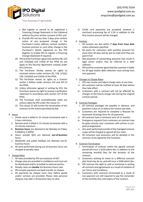

- c. Not register or permit to be registered a Financing Change Statement in the Collateral without the prior written consent of IPO; and
- d. Provide IPO not less than 3 days prior written notice of any proposed change in the Purchaser's name, address, contact numbers, business practice or such other change in the Purchaser's details registered on the PPS Register to enable IPO to register a Financing Change Statement if required.
- 10. IPO and the Purchaser agree that sections 96, 125 and 132(3)(d) and 132(4) of the PPSA do not apply to the Security Agreement created under this Contract.
- 11. The Purchaser hereby waives its rights to received notices under sections 95, 118, 121(4), 130, 132(3)(d) and 132(4) of the PPSA.
- 12. The Purchaser waives its rights as a Grantor and/or a Debtor under sections 142 and 143 of the PPSA.
- 13. Unless otherwise agreed in writing by IPO, the Purchaser waives its right to receive a verification statement in accordance with section 157 of the PPSA.
- 14. The Purchaser shall unconditionally ratify any actions taken by IPO under this clause 15.
- 15. This clause 15 will survive the termination of the Contract to the extent permitted by law.

# 4. Hours

- i. Onsite work is billed in 15 minute increments with a 1-hour minimum.
- ii. Remote work is billed in 15 minute increments with a 15-minute minimum.
- iii. **Business hours** are deemed to be Monday to Friday, 8.30AM to 5.30PM.
- iv. Hours outside 4(iii) are deemed **out-of-business** hours.
- v. Weekends and public holidays are deemed out-ofbusiness hours.
- vi. All work performed during out-of-business hours are charged at penalty rates.

# 5. Charge Rates

- i. All rates provided by IPO are exclusive of GST.
- ii. Charge rates are provided in confidence and must not be distributed and/or provided to external parties.
- iii. Penalty rates are **double** the Business Hours rate.
- iv. IPO accepts payments via bank transfer or cheque.
- v. All payments by cheque must clear before goods and/or services are provided. Please note personal cheques may take 5-10 business days to clear.

vi. Credit card payments are accepted, however a merchant processing fee of 1.5% in addition to the final invoice amount will be charged.

#### 6. Invoices

- i. All invoices are due within **7 days from issue date** unless otherwise-specified.
- ii. All works for customers with overdue amounts for more than 30 days will be put on hold until they are paid in full.
- iii. Non-payment of outstanding amounts may result in legal action and/or may be referred to a debt collector.
- iv. IPO and the customer agree that the customer is liable for all legal and/or debt collection costs arising from non-payment.

# 7. Changes to Charge Rates

- i. IPO may review and adjust charge rates at any time.
- ii. All customers will be notified at least 30 days before they take effect.
- iii. Customers with a contract will not be affected by changes to the hourly charge rate during the original contract period.
- 8. Contract Packages
	- i. All Contract packages are payable in advance, and payment is due on or before the invoice due date.
	- ii. Customers are required to complete a Request for Automatic Drawings form for all payments.
	- iii. All contracts have a minimum term of 12 months.
	- iv. Emergency requests from customers on contract may be given priority over customers with ad-hoc or prepaid arrangements.
	- v. Any work performed outside of the managed contract scope will be charged at agreed ad-hoc rates.
	- vi. All inclusions and exclusions will be detailed in the contract, to be signed by the Customer.
- 9. Contract Termination
	- i. Termination of contract within the agreed contract period will incur a \$150 admin fee, in addition to the remaining monthly fees for the duration of the contract.
	- ii. Customers wishing to move to a different contract plan level may do so, and will incur a \$100 admin fee.
	- iii. IPO reserves the right to void or terminate in writing all contracts and agreements as a result of violation of our Terms and Conditions.
	- iv. Customers with contracts terminated as a result of non-payment are still required to pay the remainder of the monthly fees until expiry of the contract.